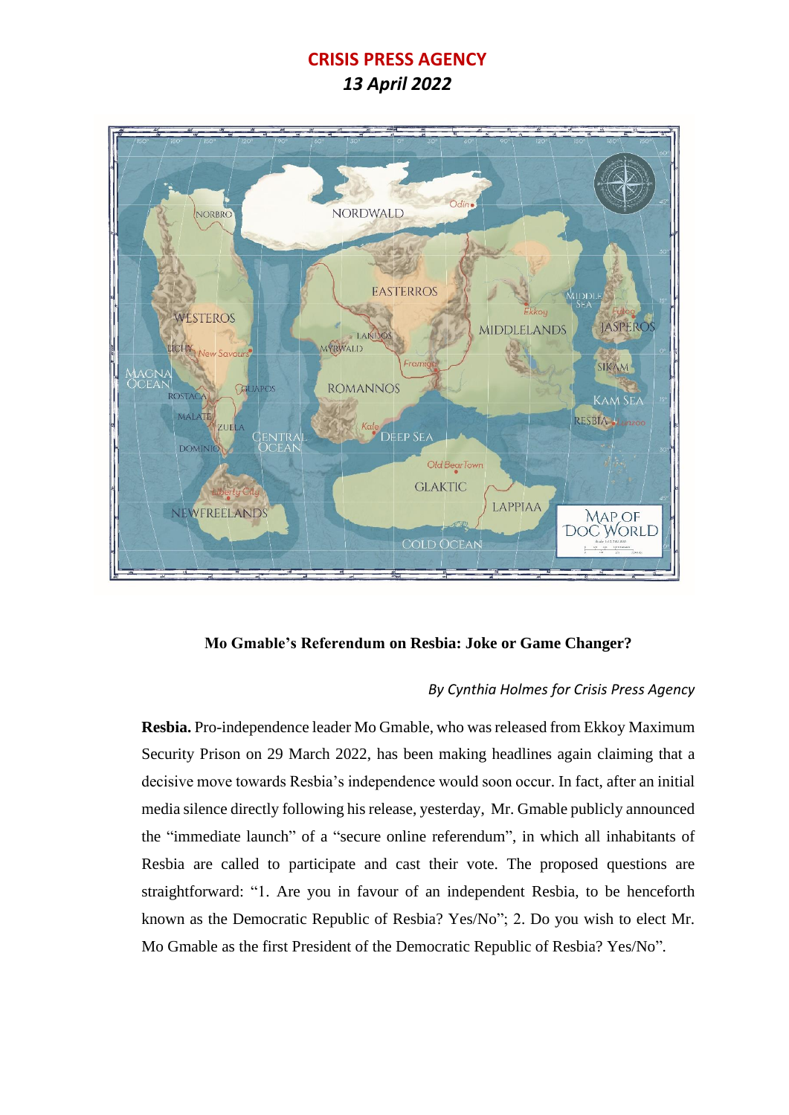## **CRISIS PRESS AGENCY**

*13 April 2022*



**Mo Gmable's Referendum on Resbia: Joke or Game Changer?**

## *By Cynthia Holmes for Crisis Press Agency*

**Resbia.** Pro-independence leader Mo Gmable, who was released from Ekkoy Maximum Security Prison on 29 March 2022, has been making headlines again claiming that a decisive move towards Resbia's independence would soon occur. In fact, after an initial media silence directly following his release, yesterday, Mr. Gmable publicly announced the "immediate launch" of a "secure online referendum", in which all inhabitants of Resbia are called to participate and cast their vote. The proposed questions are straightforward: "1. Are you in favour of an independent Resbia, to be henceforth known as the Democratic Republic of Resbia? Yes/No"; 2. Do you wish to elect Mr. Mo Gmable as the first President of the Democratic Republic of Resbia? Yes/No"*.*